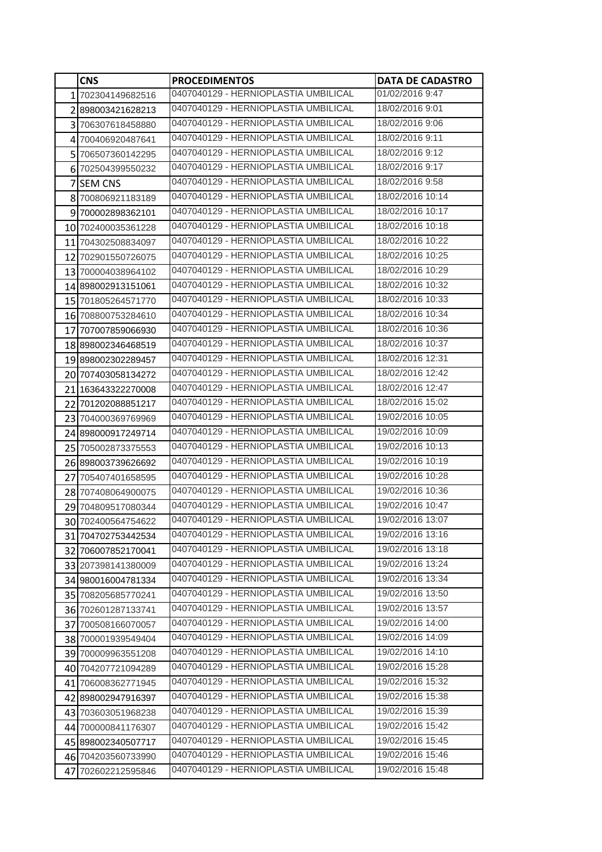|    | <b>CNS</b>              | <b>PROCEDIMENTOS</b>                 | <b>DATA DE CADASTRO</b> |
|----|-------------------------|--------------------------------------|-------------------------|
|    | 1 702304149682516       | 0407040129 - HERNIOPLASTIA UMBILICAL | 01/02/2016 9:47         |
|    | 2898003421628213        | 0407040129 - HERNIOPLASTIA UMBILICAL | 18/02/2016 9:01         |
|    | 3 706307618458880       | 0407040129 - HERNIOPLASTIA UMBILICAL | 18/02/2016 9:06         |
|    | 4 700406920487641       | 0407040129 - HERNIOPLASTIA UMBILICAL | 18/02/2016 9:11         |
|    | 5 706507360142295       | 0407040129 - HERNIOPLASTIA UMBILICAL | 18/02/2016 9:12         |
|    | 6 702504399550232       | 0407040129 - HERNIOPLASTIA UMBILICAL | 18/02/2016 9:17         |
| 7  | <b>SEM CNS</b>          | 0407040129 - HERNIOPLASTIA UMBILICAL | 18/02/2016 9:58         |
|    | 8 700806921183189       | 0407040129 - HERNIOPLASTIA UMBILICAL | 18/02/2016 10:14        |
| 9  | 700002898362101         | 0407040129 - HERNIOPLASTIA UMBILICAL | 18/02/2016 10:17        |
|    | 10 702400035361228      | 0407040129 - HERNIOPLASTIA UMBILICAL | 18/02/2016 10:18        |
|    | 11 704302508834097      | 0407040129 - HERNIOPLASTIA UMBILICAL | 18/02/2016 10:22        |
|    | 12 702901550726075      | 0407040129 - HERNIOPLASTIA UMBILICAL | 18/02/2016 10:25        |
|    | 13 700004038964102      | 0407040129 - HERNIOPLASTIA UMBILICAL | 18/02/2016 10:29        |
|    | 14 898002913151061      | 0407040129 - HERNIOPLASTIA UMBILICAL | 18/02/2016 10:32        |
|    | 15 701805264571770      | 0407040129 - HERNIOPLASTIA UMBILICAL | 18/02/2016 10:33        |
|    | 16 708800753284610      | 0407040129 - HERNIOPLASTIA UMBILICAL | 18/02/2016 10:34        |
|    | 17 707007859066930      | 0407040129 - HERNIOPLASTIA UMBILICAL | 18/02/2016 10:36        |
|    | 18 898002346468519      | 0407040129 - HERNIOPLASTIA UMBILICAL | 18/02/2016 10:37        |
|    | 19 898002302289457      | 0407040129 - HERNIOPLASTIA UMBILICAL | 18/02/2016 12:31        |
|    | 20 707403058134272      | 0407040129 - HERNIOPLASTIA UMBILICAL | 18/02/2016 12:42        |
|    | 21 163643322270008      | 0407040129 - HERNIOPLASTIA UMBILICAL | 18/02/2016 12:47        |
|    | 22 701202088851217      | 0407040129 - HERNIOPLASTIA UMBILICAL | 18/02/2016 15:02        |
| 23 | 704000369769969         | 0407040129 - HERNIOPLASTIA UMBILICAL | 19/02/2016 10:05        |
|    | 24 898000917249714      | 0407040129 - HERNIOPLASTIA UMBILICAL | 19/02/2016 10:09        |
|    | 25 705002873375553      | 0407040129 - HERNIOPLASTIA UMBILICAL | 19/02/2016 10:13        |
|    | 261898003739626692      | 0407040129 - HERNIOPLASTIA UMBILICAL | 19/02/2016 10:19        |
|    | 27 705407401658595      | 0407040129 - HERNIOPLASTIA UMBILICAL | 19/02/2016 10:28        |
|    | 28 707408064900075      | 0407040129 - HERNIOPLASTIA UMBILICAL | 19/02/2016 10:36        |
|    | 29 704809517080344      | 0407040129 - HERNIOPLASTIA UMBILICAL | 19/02/2016 10:47        |
|    | 30 702400564754622      | 0407040129 - HERNIOPLASTIA UMBILICAL | 19/02/2016 13:07        |
|    | 31 704702753442534      | 0407040129 - HERNIOPLASTIA UMBILICAL | 19/02/2016 13:16        |
|    | 32 706007852170041      | 0407040129 - HERNIOPLASTIA UMBILICAL | 19/02/2016 13:18        |
|    | 33 207398141380009      | 0407040129 - HERNIOPLASTIA UMBILICAL | 19/02/2016 13:24        |
|    | 34 980016004781334      | 0407040129 - HERNIOPLASTIA UMBILICAL | 19/02/2016 13:34        |
|    | 35 708205685770241      | 0407040129 - HERNIOPLASTIA UMBILICAL | 19/02/2016 13:50        |
|    | 36 702601287133741      | 0407040129 - HERNIOPLASTIA UMBILICAL | 19/02/2016 13:57        |
|    | 37 700508166070057      | 0407040129 - HERNIOPLASTIA UMBILICAL | 19/02/2016 14:00        |
|    | 38 700001939549404      | 0407040129 - HERNIOPLASTIA UMBILICAL | 19/02/2016 14:09        |
|    | 39 700009963551208      | 0407040129 - HERNIOPLASTIA UMBILICAL | 19/02/2016 14:10        |
|    | 40 704 2077 210 94 28 9 | 0407040129 - HERNIOPLASTIA UMBILICAL | 19/02/2016 15:28        |
|    | 41 706008362771945      | 0407040129 - HERNIOPLASTIA UMBILICAL | 19/02/2016 15:32        |
|    | 42 898002947916397      | 0407040129 - HERNIOPLASTIA UMBILICAL | 19/02/2016 15:38        |
|    | 43 703603051968238      | 0407040129 - HERNIOPLASTIA UMBILICAL | 19/02/2016 15:39        |
|    | 44 700000841176307      | 0407040129 - HERNIOPLASTIA UMBILICAL | 19/02/2016 15:42        |
|    | 45 898002340507717      | 0407040129 - HERNIOPLASTIA UMBILICAL | 19/02/2016 15:45        |
|    | 46 704203560733990      | 0407040129 - HERNIOPLASTIA UMBILICAL | 19/02/2016 15:46        |
|    | 47 702602212595846      | 0407040129 - HERNIOPLASTIA UMBILICAL | 19/02/2016 15:48        |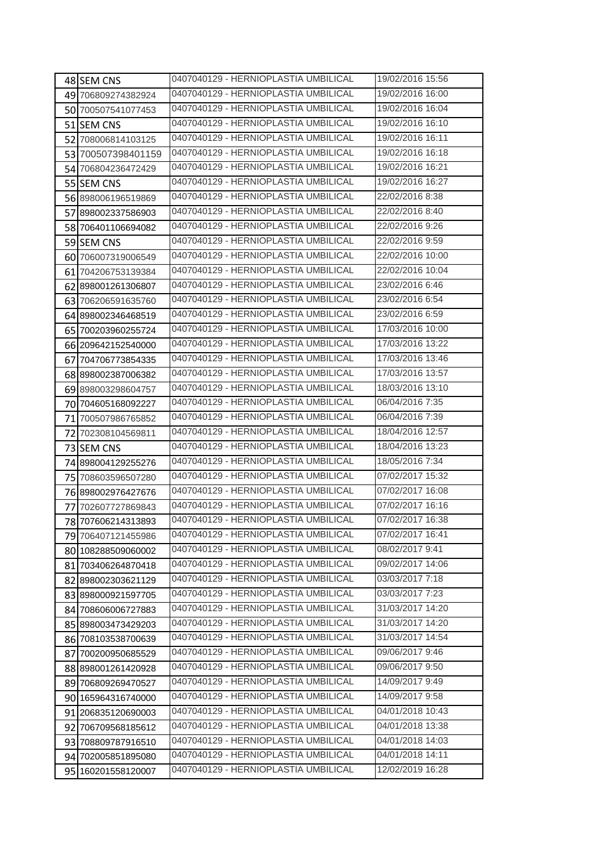| 48 SEM CNS          | 0407040129 - HERNIOPLASTIA UMBILICAL | 19/02/2016 15:56 |
|---------------------|--------------------------------------|------------------|
| 49 706809274382924  | 0407040129 - HERNIOPLASTIA UMBILICAL | 19/02/2016 16:00 |
| 50 700507541077453  | 0407040129 - HERNIOPLASTIA UMBILICAL | 19/02/2016 16:04 |
| 51 SEM CNS          | 0407040129 - HERNIOPLASTIA UMBILICAL | 19/02/2016 16:10 |
| 52 708006814103125  | 0407040129 - HERNIOPLASTIA UMBILICAL | 19/02/2016 16:11 |
| 53 700507398401159  | 0407040129 - HERNIOPLASTIA UMBILICAL | 19/02/2016 16:18 |
| 54 706804236472429  | 0407040129 - HERNIOPLASTIA UMBILICAL | 19/02/2016 16:21 |
| 55 SEM CNS          | 0407040129 - HERNIOPLASTIA UMBILICAL | 19/02/2016 16:27 |
| 56 898006196519869  | 0407040129 - HERNIOPLASTIA UMBILICAL | 22/02/2016 8:38  |
| 57 898002337586903  | 0407040129 - HERNIOPLASTIA UMBILICAL | 22/02/2016 8:40  |
| 581706401106694082  | 0407040129 - HERNIOPLASTIA UMBILICAL | 22/02/2016 9:26  |
| 59 SEM CNS          | 0407040129 - HERNIOPLASTIA UMBILICAL | 22/02/2016 9:59  |
| 60 706007319006549  | 0407040129 - HERNIOPLASTIA UMBILICAL | 22/02/2016 10:00 |
| 61 704206753139384  | 0407040129 - HERNIOPLASTIA UMBILICAL | 22/02/2016 10:04 |
| 62 898001261306807  | 0407040129 - HERNIOPLASTIA UMBILICAL | 23/02/2016 6:46  |
| 63 706206591635760  | 0407040129 - HERNIOPLASTIA UMBILICAL | 23/02/2016 6:54  |
| 64 898002346468519  | 0407040129 - HERNIOPLASTIA UMBILICAL | 23/02/2016 6:59  |
| 65 700203960255724  | 0407040129 - HERNIOPLASTIA UMBILICAL | 17/03/2016 10:00 |
| 66 209642152540000  | 0407040129 - HERNIOPLASTIA UMBILICAL | 17/03/2016 13:22 |
| 67 704706773854335  | 0407040129 - HERNIOPLASTIA UMBILICAL | 17/03/2016 13:46 |
| 68 898002387006382  | 0407040129 - HERNIOPLASTIA UMBILICAL | 17/03/2016 13:57 |
| 69 898003298604757  | 0407040129 - HERNIOPLASTIA UMBILICAL | 18/03/2016 13:10 |
| 70 704605168092227  | 0407040129 - HERNIOPLASTIA UMBILICAL | 06/04/2016 7:35  |
| 71 700507986765852  | 0407040129 - HERNIOPLASTIA UMBILICAL | 06/04/2016 7:39  |
| 72 702308104569811  | 0407040129 - HERNIOPLASTIA UMBILICAL | 18/04/2016 12:57 |
| 73 SEM CNS          | 0407040129 - HERNIOPLASTIA UMBILICAL | 18/04/2016 13:23 |
| 74 898004129255276  | 0407040129 - HERNIOPLASTIA UMBILICAL | 18/05/2016 7:34  |
| 75 708603596507280  | 0407040129 - HERNIOPLASTIA UMBILICAL | 07/02/2017 15:32 |
| 76 898002976427676  | 0407040129 - HERNIOPLASTIA UMBILICAL | 07/02/2017 16:08 |
| 77 702607727869843  | 0407040129 - HERNIOPLASTIA UMBILICAL | 07/02/2017 16:16 |
| 78 707606214313893  | 0407040129 - HERNIOPLASTIA UMBILICAL | 07/02/2017 16:38 |
| 79 706407121455986  | 0407040129 - HERNIOPLASTIA UMBILICAL | 07/02/2017 16:41 |
| 80 108288509060002  | 0407040129 - HERNIOPLASTIA UMBILICAL | 08/02/2017 9:41  |
| 81 703406264870418  | 0407040129 - HERNIOPLASTIA UMBILICAL | 09/02/2017 14:06 |
| 82 898002303621129  | 0407040129 - HERNIOPLASTIA UMBILICAL | 03/03/2017 7:18  |
| 83 898000921597705  | 0407040129 - HERNIOPLASTIA UMBILICAL | 03/03/2017 7:23  |
| 84 708606006727883  | 0407040129 - HERNIOPLASTIA UMBILICAL | 31/03/2017 14:20 |
| 85 898003473429203  | 0407040129 - HERNIOPLASTIA UMBILICAL | 31/03/2017 14:20 |
| 86 708103538700639  | 0407040129 - HERNIOPLASTIA UMBILICAL | 31/03/2017 14:54 |
| 87 700200950685529  | 0407040129 - HERNIOPLASTIA UMBILICAL | 09/06/2017 9:46  |
| 88 898001261420928  | 0407040129 - HERNIOPLASTIA UMBILICAL | 09/06/2017 9:50  |
| 89 706809269470527  | 0407040129 - HERNIOPLASTIA UMBILICAL | 14/09/2017 9:49  |
| 90 1659 64316740000 | 0407040129 - HERNIOPLASTIA UMBILICAL | 14/09/2017 9:58  |
| 91 206835120690003  | 0407040129 - HERNIOPLASTIA UMBILICAL | 04/01/2018 10:43 |
| 92 706709568185612  | 0407040129 - HERNIOPLASTIA UMBILICAL | 04/01/2018 13:38 |
| 93 708809787916510  | 0407040129 - HERNIOPLASTIA UMBILICAL | 04/01/2018 14:03 |
| 94 702005851895080  | 0407040129 - HERNIOPLASTIA UMBILICAL | 04/01/2018 14:11 |
| 95 160201558120007  | 0407040129 - HERNIOPLASTIA UMBILICAL | 12/02/2019 16:28 |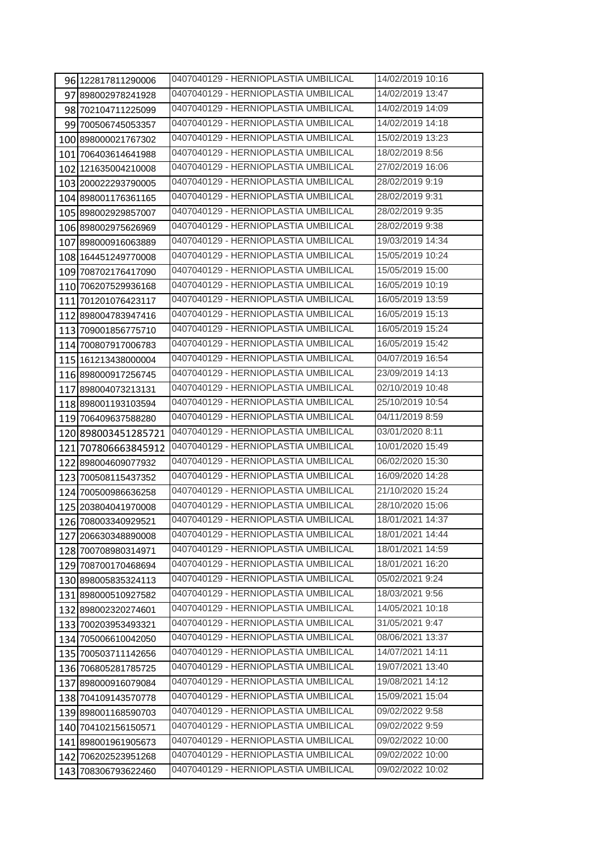| 96 122817811290006  | 0407040129 - HERNIOPLASTIA UMBILICAL | 14/02/2019 10:16 |
|---------------------|--------------------------------------|------------------|
| 97 898002978241928  | 0407040129 - HERNIOPLASTIA UMBILICAL | 14/02/2019 13:47 |
| 98 702104711225099  | 0407040129 - HERNIOPLASTIA UMBILICAL | 14/02/2019 14:09 |
| 99 700506745053357  | 0407040129 - HERNIOPLASTIA UMBILICAL | 14/02/2019 14:18 |
| 100 898000021767302 | 0407040129 - HERNIOPLASTIA UMBILICAL | 15/02/2019 13:23 |
| 101 706403614641988 | 0407040129 - HERNIOPLASTIA UMBILICAL | 18/02/2019 8:56  |
| 102 121635004210008 | 0407040129 - HERNIOPLASTIA UMBILICAL | 27/02/2019 16:06 |
| 103 200022293790005 | 0407040129 - HERNIOPLASTIA UMBILICAL | 28/02/2019 9:19  |
| 104 898001176361165 | 0407040129 - HERNIOPLASTIA UMBILICAL | 28/02/2019 9:31  |
| 105 898002929857007 | 0407040129 - HERNIOPLASTIA UMBILICAL | 28/02/2019 9:35  |
| 106 898002975626969 | 0407040129 - HERNIOPLASTIA UMBILICAL | 28/02/2019 9:38  |
| 107 898000916063889 | 0407040129 - HERNIOPLASTIA UMBILICAL | 19/03/2019 14:34 |
| 108 164451249770008 | 0407040129 - HERNIOPLASTIA UMBILICAL | 15/05/2019 10:24 |
| 109 708702176417090 | 0407040129 - HERNIOPLASTIA UMBILICAL | 15/05/2019 15:00 |
| 110 706207529936168 | 0407040129 - HERNIOPLASTIA UMBILICAL | 16/05/2019 10:19 |
| 111 701201076423117 | 0407040129 - HERNIOPLASTIA UMBILICAL | 16/05/2019 13:59 |
| 112 898004783947416 | 0407040129 - HERNIOPLASTIA UMBILICAL | 16/05/2019 15:13 |
| 113 709001856775710 | 0407040129 - HERNIOPLASTIA UMBILICAL | 16/05/2019 15:24 |
| 114 700807917006783 | 0407040129 - HERNIOPLASTIA UMBILICAL | 16/05/2019 15:42 |
| 115 161213438000004 | 0407040129 - HERNIOPLASTIA UMBILICAL | 04/07/2019 16:54 |
| 116 898000917256745 | 0407040129 - HERNIOPLASTIA UMBILICAL | 23/09/2019 14:13 |
| 117 898004073213131 | 0407040129 - HERNIOPLASTIA UMBILICAL | 02/10/2019 10:48 |
| 118 898001193103594 | 0407040129 - HERNIOPLASTIA UMBILICAL | 25/10/2019 10:54 |
| 119 706409637588280 | 0407040129 - HERNIOPLASTIA UMBILICAL | 04/11/2019 8:59  |
| 120 898003451285721 | 0407040129 - HERNIOPLASTIA UMBILICAL | 03/01/2020 8:11  |
| 121 707806663845912 | 0407040129 - HERNIOPLASTIA UMBILICAL | 10/01/2020 15:49 |
| 122 898004609077932 | 0407040129 - HERNIOPLASTIA UMBILICAL | 06/02/2020 15:30 |
| 123 700508115437352 | 0407040129 - HERNIOPLASTIA UMBILICAL | 16/09/2020 14:28 |
| 124 700500986636258 | 0407040129 - HERNIOPLASTIA UMBILICAL | 21/10/2020 15:24 |
| 125 203804041970008 | 0407040129 - HERNIOPLASTIA UMBILICAL | 28/10/2020 15:06 |
| 126 708003340929521 | 0407040129 - HERNIOPLASTIA UMBILICAL | 18/01/2021 14:37 |
| 127 206630348890008 | 0407040129 - HERNIOPLASTIA UMBILICAL | 18/01/2021 14:44 |
| 128 700708980314971 | 0407040129 - HERNIOPLASTIA UMBILICAL | 18/01/2021 14:59 |
| 129 708700170468694 | 0407040129 - HERNIOPLASTIA UMBILICAL | 18/01/2021 16:20 |
| 130 898005835324113 | 0407040129 - HERNIOPLASTIA UMBILICAL | 05/02/2021 9:24  |
| 131 898000510927582 | 0407040129 - HERNIOPLASTIA UMBILICAL | 18/03/2021 9:56  |
| 132 898002320274601 | 0407040129 - HERNIOPLASTIA UMBILICAL | 14/05/2021 10:18 |
| 133 700203953493321 | 0407040129 - HERNIOPLASTIA UMBILICAL | 31/05/2021 9:47  |
| 134 705006610042050 | 0407040129 - HERNIOPLASTIA UMBILICAL | 08/06/2021 13:37 |
| 135 700503711142656 | 0407040129 - HERNIOPLASTIA UMBILICAL | 14/07/2021 14:11 |
| 136 706805281785725 | 0407040129 - HERNIOPLASTIA UMBILICAL | 19/07/2021 13:40 |
| 137 898000916079084 | 0407040129 - HERNIOPLASTIA UMBILICAL | 19/08/2021 14:12 |
|                     | 0407040129 - HERNIOPLASTIA UMBILICAL | 15/09/2021 15:04 |
| 138 704109143570778 |                                      |                  |
| 139 898001168590703 | 0407040129 - HERNIOPLASTIA UMBILICAL | 09/02/2022 9:58  |
| 140 704102156150571 | 0407040129 - HERNIOPLASTIA UMBILICAL | 09/02/2022 9:59  |
| 141 898001961905673 | 0407040129 - HERNIOPLASTIA UMBILICAL | 09/02/2022 10:00 |
| 142 706202523951268 | 0407040129 - HERNIOPLASTIA UMBILICAL | 09/02/2022 10:00 |